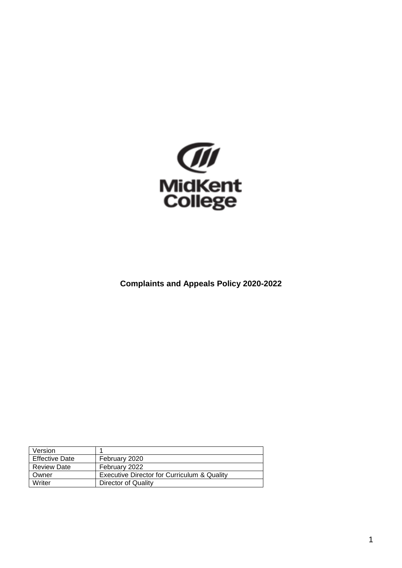

**Complaints and Appeals Policy 2020-2022**

| Version               |                                             |
|-----------------------|---------------------------------------------|
| <b>Effective Date</b> | February 2020                               |
| <b>Review Date</b>    | February 2022                               |
| Owner                 | Executive Director for Curriculum & Quality |
| Writer                | Director of Quality                         |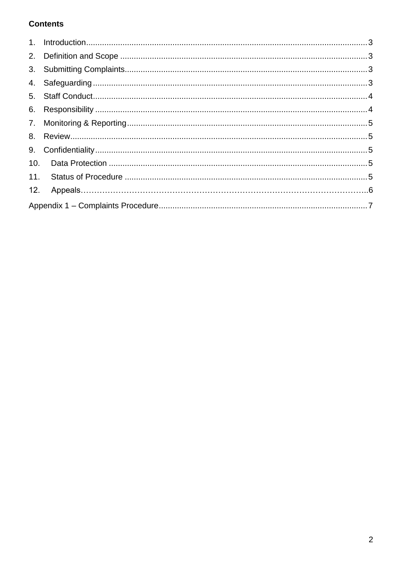# **Contents**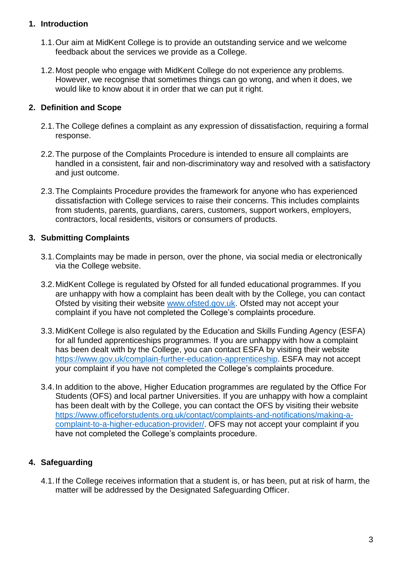## <span id="page-2-0"></span>**1. Introduction**

- 1.1.Our aim at MidKent College is to provide an outstanding service and we welcome feedback about the services we provide as a College.
- 1.2.Most people who engage with MidKent College do not experience any problems. However, we recognise that sometimes things can go wrong, and when it does, we would like to know about it in order that we can put it right.

## <span id="page-2-1"></span>**2. Definition and Scope**

- 2.1.The College defines a complaint as any expression of dissatisfaction, requiring a formal response.
- 2.2.The purpose of the Complaints Procedure is intended to ensure all complaints are handled in a consistent, fair and non-discriminatory way and resolved with a satisfactory and just outcome.
- 2.3.The Complaints Procedure provides the framework for anyone who has experienced dissatisfaction with College services to raise their concerns. This includes complaints from students, parents, guardians, carers, customers, support workers, employers, contractors, local residents, visitors or consumers of products.

## <span id="page-2-2"></span>**3. Submitting Complaints**

- 3.1.Complaints may be made in person, over the phone, via social media or electronically via the College website.
- 3.2.MidKent College is regulated by Ofsted for all funded educational programmes. If you are unhappy with how a complaint has been dealt with by the College, you can contact Ofsted by visiting their website [www.ofsted.gov.uk.](http://www.ofsted.gov.uk/) Ofsted may not accept your complaint if you have not completed the College's complaints procedure.
- 3.3.MidKent College is also regulated by the Education and Skills Funding Agency (ESFA) for all funded apprenticeships programmes. If you are unhappy with how a complaint has been dealt with by the College, you can contact ESFA by visiting their website [https://www.gov.uk/complain-further-education-apprenticeship.](https://www.gov.uk/complain-further-education-apprenticeship) ESFA may not accept your complaint if you have not completed the College's complaints procedure.
- 3.4.In addition to the above, Higher Education programmes are regulated by the Office For Students (OFS) and local partner Universities. If you are unhappy with how a complaint has been dealt with by the College, you can contact the OFS by visiting their website [https://www.officeforstudents.org.uk/contact/complaints-and-notifications/making-a](https://www.officeforstudents.org.uk/contact/complaints-and-notifications/making-a-complaint-to-a-higher-education-provider/)[complaint-to-a-higher-education-provider/.](https://www.officeforstudents.org.uk/contact/complaints-and-notifications/making-a-complaint-to-a-higher-education-provider/) OFS may not accept your complaint if you have not completed the College's complaints procedure.

## <span id="page-2-3"></span>**4. Safeguarding**

4.1.If the College receives information that a student is, or has been, put at risk of harm, the matter will be addressed by the Designated Safeguarding Officer.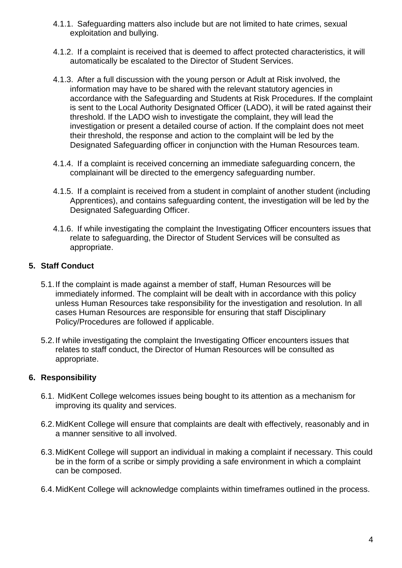- 4.1.1. Safeguarding matters also include but are not limited to hate crimes, sexual exploitation and bullying.
- 4.1.2. If a complaint is received that is deemed to affect protected characteristics, it will automatically be escalated to the Director of Student Services.
- 4.1.3. After a full discussion with the young person or Adult at Risk involved, the information may have to be shared with the relevant statutory agencies in accordance with the Safeguarding and Students at Risk Procedures. If the complaint is sent to the Local Authority Designated Officer (LADO), it will be rated against their threshold. If the LADO wish to investigate the complaint, they will lead the investigation or present a detailed course of action. If the complaint does not meet their threshold, the response and action to the complaint will be led by the Designated Safeguarding officer in conjunction with the Human Resources team.
- 4.1.4. If a complaint is received concerning an immediate safeguarding concern, the complainant will be directed to the emergency safeguarding number.
- 4.1.5. If a complaint is received from a student in complaint of another student (including Apprentices), and contains safeguarding content, the investigation will be led by the Designated Safeguarding Officer.
- 4.1.6. If while investigating the complaint the Investigating Officer encounters issues that relate to safeguarding, the Director of Student Services will be consulted as appropriate.

## <span id="page-3-0"></span>**5. Staff Conduct**

- 5.1.If the complaint is made against a member of staff, Human Resources will be immediately informed. The complaint will be dealt with in accordance with this policy unless Human Resources take responsibility for the investigation and resolution. In all cases Human Resources are responsible for ensuring that staff Disciplinary Policy/Procedures are followed if applicable.
- 5.2.If while investigating the complaint the Investigating Officer encounters issues that relates to staff conduct, the Director of Human Resources will be consulted as appropriate.

#### <span id="page-3-1"></span>**6. Responsibility**

- 6.1. MidKent College welcomes issues being bought to its attention as a mechanism for improving its quality and services.
- 6.2.MidKent College will ensure that complaints are dealt with effectively, reasonably and in a manner sensitive to all involved.
- 6.3.MidKent College will support an individual in making a complaint if necessary. This could be in the form of a scribe or simply providing a safe environment in which a complaint can be composed.
- 6.4.MidKent College will acknowledge complaints within timeframes outlined in the process.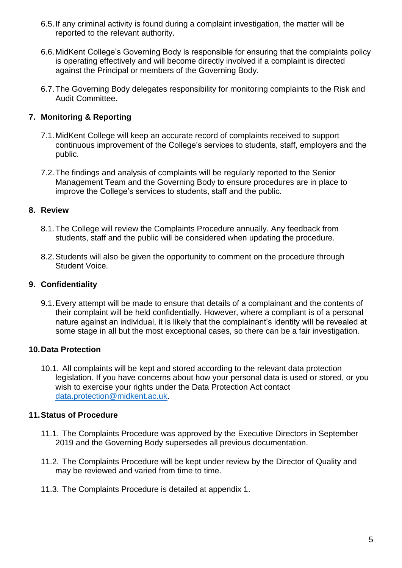- 6.5.If any criminal activity is found during a complaint investigation, the matter will be reported to the relevant authority.
- 6.6.MidKent College's Governing Body is responsible for ensuring that the complaints policy is operating effectively and will become directly involved if a complaint is directed against the Principal or members of the Governing Body.
- 6.7.The Governing Body delegates responsibility for monitoring complaints to the Risk and Audit Committee.

## <span id="page-4-0"></span>**7. Monitoring & Reporting**

- 7.1.MidKent College will keep an accurate record of complaints received to support continuous improvement of the College's services to students, staff, employers and the public.
- 7.2.The findings and analysis of complaints will be regularly reported to the Senior Management Team and the Governing Body to ensure procedures are in place to improve the College's services to students, staff and the public.

## <span id="page-4-1"></span>**8. Review**

- 8.1.The College will review the Complaints Procedure annually. Any feedback from students, staff and the public will be considered when updating the procedure.
- 8.2.Students will also be given the opportunity to comment on the procedure through Student Voice.

#### <span id="page-4-2"></span>**9. Confidentiality**

9.1.Every attempt will be made to ensure that details of a complainant and the contents of their complaint will be held confidentially. However, where a compliant is of a personal nature against an individual, it is likely that the complainant's identity will be revealed at some stage in all but the most exceptional cases, so there can be a fair investigation.

## <span id="page-4-3"></span>**10.Data Protection**

10.1. All complaints will be kept and stored according to the relevant data protection legislation. If you have concerns about how your personal data is used or stored, or you wish to exercise your rights under the Data Protection Act contact [data.protection@midkent.ac.uk.](mailto:data.protection@midkent.ac.uk)

#### <span id="page-4-4"></span>**11.Status of Procedure**

- 11.1. The Complaints Procedure was approved by the Executive Directors in September 2019 and the Governing Body supersedes all previous documentation.
- 11.2. The Complaints Procedure will be kept under review by the Director of Quality and may be reviewed and varied from time to time.
- 11.3. The Complaints Procedure is detailed at appendix 1.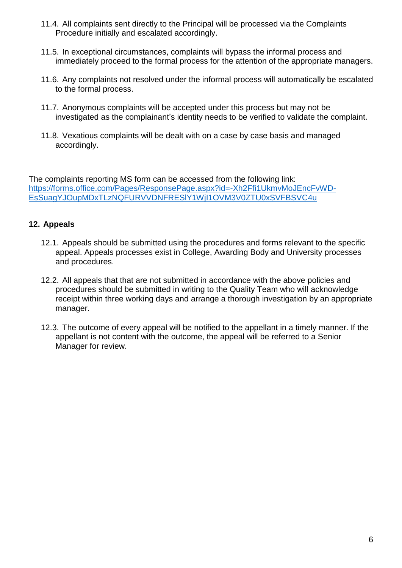- 11.4. All complaints sent directly to the Principal will be processed via the Complaints Procedure initially and escalated accordingly.
- 11.5. In exceptional circumstances, complaints will bypass the informal process and immediately proceed to the formal process for the attention of the appropriate managers.
- 11.6. Any complaints not resolved under the informal process will automatically be escalated to the formal process.
- 11.7. Anonymous complaints will be accepted under this process but may not be investigated as the complainant's identity needs to be verified to validate the complaint.
- 11.8. Vexatious complaints will be dealt with on a case by case basis and managed accordingly.

The complaints reporting MS form can be accessed from the following link: [https://forms.office.com/Pages/ResponsePage.aspx?id=-Xh2Ffi1UkmvMoJEncFvWD-](https://forms.office.com/Pages/ResponsePage.aspx?id=-Xh2Ffi1UkmvMoJEncFvWD-EsSuagYJOupMDxTLzNQFURVVDNFRESlY1WjI1OVM3V0ZTU0xSVFBSVC4u)[EsSuagYJOupMDxTLzNQFURVVDNFRESlY1WjI1OVM3V0ZTU0xSVFBSVC4u](https://forms.office.com/Pages/ResponsePage.aspx?id=-Xh2Ffi1UkmvMoJEncFvWD-EsSuagYJOupMDxTLzNQFURVVDNFRESlY1WjI1OVM3V0ZTU0xSVFBSVC4u)

## **12. Appeals**

- 12.1. Appeals should be submitted using the procedures and forms relevant to the specific appeal. Appeals processes exist in College, Awarding Body and University processes and procedures.
- 12.2. All appeals that that are not submitted in accordance with the above policies and procedures should be submitted in writing to the Quality Team who will acknowledge receipt within three working days and arrange a thorough investigation by an appropriate manager.
- 12.3. The outcome of every appeal will be notified to the appellant in a timely manner. If the appellant is not content with the outcome, the appeal will be referred to a Senior Manager for review.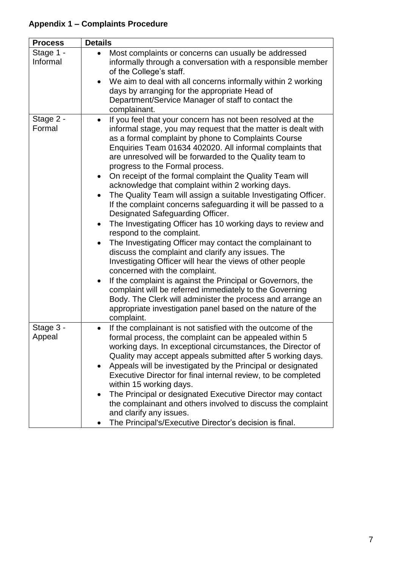# <span id="page-6-0"></span>**Appendix 1 – Complaints Procedure**

| <b>Process</b>        | <b>Details</b>                                                                                                                                                                                                                                                                                                                                                                                                                                                                                                                                                                                                                                                                                                                                                                                                                                                                                                                                                                                                                                                                                                                                                                                                                                              |
|-----------------------|-------------------------------------------------------------------------------------------------------------------------------------------------------------------------------------------------------------------------------------------------------------------------------------------------------------------------------------------------------------------------------------------------------------------------------------------------------------------------------------------------------------------------------------------------------------------------------------------------------------------------------------------------------------------------------------------------------------------------------------------------------------------------------------------------------------------------------------------------------------------------------------------------------------------------------------------------------------------------------------------------------------------------------------------------------------------------------------------------------------------------------------------------------------------------------------------------------------------------------------------------------------|
| Stage 1 -<br>Informal | Most complaints or concerns can usually be addressed<br>$\bullet$<br>informally through a conversation with a responsible member<br>of the College's staff.<br>We aim to deal with all concerns informally within 2 working<br>days by arranging for the appropriate Head of<br>Department/Service Manager of staff to contact the<br>complainant.                                                                                                                                                                                                                                                                                                                                                                                                                                                                                                                                                                                                                                                                                                                                                                                                                                                                                                          |
| Stage 2 -<br>Formal   | If you feel that your concern has not been resolved at the<br>$\bullet$<br>informal stage, you may request that the matter is dealt with<br>as a formal complaint by phone to Complaints Course<br>Enquiries Team 01634 402020. All informal complaints that<br>are unresolved will be forwarded to the Quality team to<br>progress to the Formal process.<br>On receipt of the formal complaint the Quality Team will<br>acknowledge that complaint within 2 working days.<br>The Quality Team will assign a suitable Investigating Officer.<br>$\bullet$<br>If the complaint concerns safeguarding it will be passed to a<br>Designated Safeguarding Officer.<br>The Investigating Officer has 10 working days to review and<br>respond to the complaint.<br>The Investigating Officer may contact the complainant to<br>discuss the complaint and clarify any issues. The<br>Investigating Officer will hear the views of other people<br>concerned with the complaint.<br>If the complaint is against the Principal or Governors, the<br>$\bullet$<br>complaint will be referred immediately to the Governing<br>Body. The Clerk will administer the process and arrange an<br>appropriate investigation panel based on the nature of the<br>complaint. |
| Stage 3 -<br>Appeal   | If the complainant is not satisfied with the outcome of the<br>formal process, the complaint can be appealed within 5<br>working days. In exceptional circumstances, the Director of<br>Quality may accept appeals submitted after 5 working days.<br>Appeals will be investigated by the Principal or designated<br>$\bullet$<br>Executive Director for final internal review, to be completed<br>within 15 working days.<br>The Principal or designated Executive Director may contact<br>the complainant and others involved to discuss the complaint<br>and clarify any issues.<br>The Principal's/Executive Director's decision is final.                                                                                                                                                                                                                                                                                                                                                                                                                                                                                                                                                                                                              |